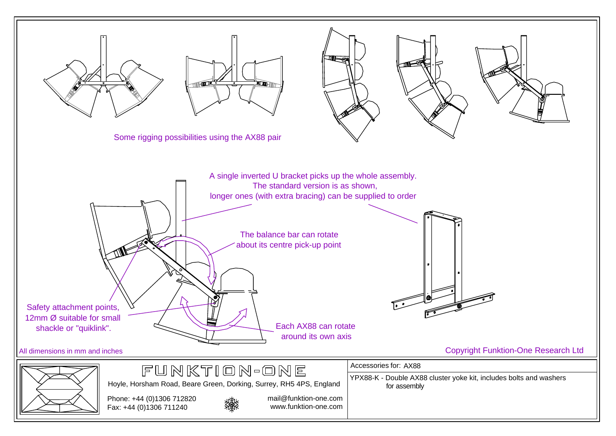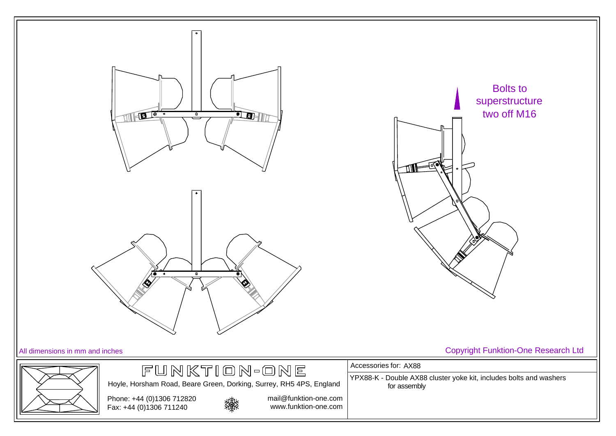